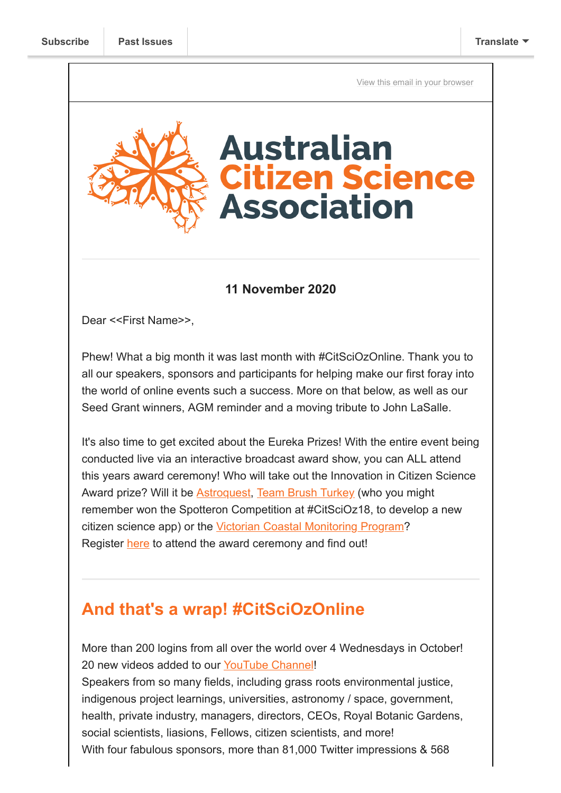[View this email in your browser](https://mailchi.mp/b0f6eadf6f5c/citsciozonline-wrap-seed-grant-winners-and-get-your-nomination-in?e=[UNIQID])



#### **11 November 2020**

Dear <<First Name>>,

Phew! What a big month it was last month with #CitSciOzOnline. Thank you to all our speakers, sponsors and participants for helping make our first foray into the world of online events such a success. More on that below, as well as our Seed Grant winners, AGM reminder and a moving tribute to John LaSalle.

It's also time to get excited about the Eureka Prizes! With the entire event being conducted live via an interactive broadcast award show, you can ALL attend this years award ceremony! Who will take out the Innovation in Citizen Science Award prize? Will it be [Astroquest](https://www.youtube.com/watch?v=UUv277rNIII&feature=youtu.be), [Team Brush Turkey](https://www.youtube.com/watch?v=uHVX3zW-wt8&feature=youtu.be) (who you might remember won the Spotteron Competition at #CitSciOz18, to develop a new citizen science app) or the [Victorian Coastal Monitoring Program?](https://www.youtube.com/watch?v=l2ujeK3YWg8&feature=youtu.be) Register [here](https://australian.museum/get-involved/eureka-prizes/2020-award-ceremony-registration/) to attend the award ceremony and find out!

### **And that's a wrap! #CitSciOzOnline**

More than 200 logins from all over the world over 4 Wednesdays in October! 20 new videos added to our [YouTube Channel!](http://www.youtube.com/c/AustralianCitizenScienceAssociation) Speakers from so many fields, including grass roots environmental justice, indigenous project learnings, universities, astronomy / space, government, health, private industry, managers, directors, CEOs, Royal Botanic Gardens,

social scientists, liasions, Fellows, citizen scientists, and more!

With four fabulous sponsors, more than 81,000 Twitter impressions & 568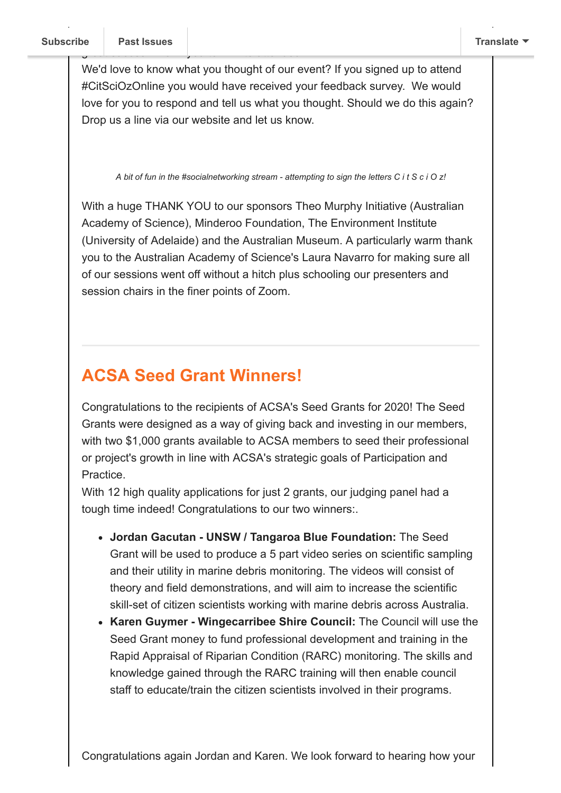We'd love to know what you thought of our event? If you signed up to attend #CitSciOzOnline you would have received your feedback survey. We would love for you to respond and tell us what you thought. Should we do this again? Drop us a line via our website and let us know.

*A bit of fun in the #socialnetworking stream - attempting to sign the letters C i t S c i O z!*

With a huge THANK YOU to our sponsors Theo Murphy Initiative (Australian Academy of Science), Minderoo Foundation, The Environment Institute (University of Adelaide) and the Australian Museum. A particularly warm thank you to the Australian Academy of Science's Laura Navarro for making sure all of our sessions went off without a hitch plus schooling our presenters and session chairs in the finer points of Zoom.

## **ACSA Seed Grant Winners!**

Congratulations to the recipients of ACSA's Seed Grants for 2020! The Seed Grants were designed as a way of giving back and investing in our members, with two \$1,000 grants available to ACSA members to seed their professional or project's growth in line with ACSA's strategic goals of Participation and Practice.

With 12 high quality applications for just 2 grants, our judging panel had a tough time indeed! Congratulations to our two winners:.

- **Jordan Gacutan UNSW / Tangaroa Blue Foundation:** The Seed Grant will be used to produce a 5 part video series on scientific sampling and their utility in marine debris monitoring. The videos will consist of theory and field demonstrations, and will aim to increase the scientific skill-set of citizen scientists working with marine debris across Australia.
- **Karen Guymer Wingecarribee Shire Council:** The Council will use the Seed Grant money to fund professional development and training in the Rapid Appraisal of Riparian Condition (RARC) monitoring. The skills and knowledge gained through the RARC training will then enable council staff to educate/train the citizen scientists involved in their programs.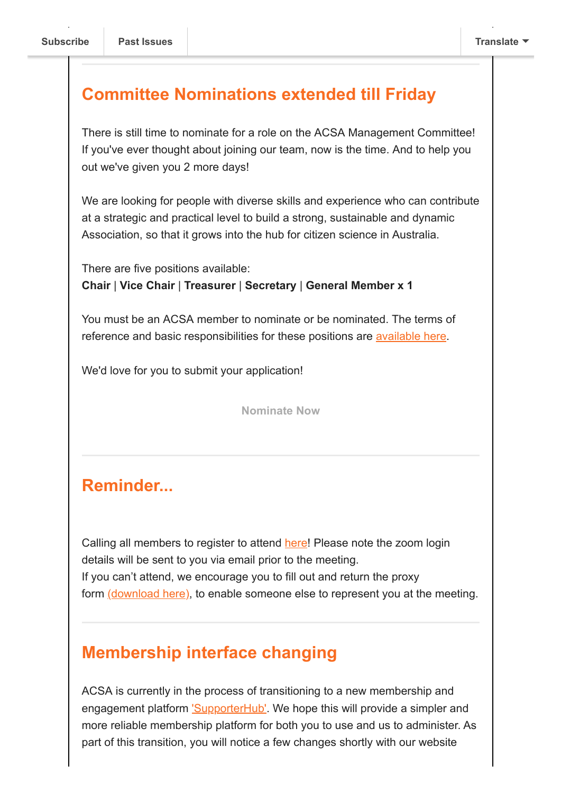#### **Committee Nominations extended till Friday**

There is still time to nominate for a role on the ACSA Management Committee! If you've ever thought about joining our team, now is the time. And to help you out we've given you 2 more days!

We are looking for people with diverse skills and experience who can contribute at a strategic and practical level to build a strong, sustainable and dynamic Association, so that it grows into the hub for citizen science in Australia.

There are five positions available: **Chair** | **Vice Chair** | **Treasurer** | **Secretary** | **General Member x 1**

You must be an ACSA member to nominate or be nominated. The terms of reference and basic responsibilities for these positions are [available here.](https://citizenscience.org.au/wp-content/uploads/2019/07/ACSA-Management-Committee-Terms-of-Reference-revised-140519.pdf)

We'd love for you to submit your application!

**[Nominate Now](https://www.surveymonkey.com/r/2CYHX9X)**

### **Reminder...**

Calling all members to register to attend [here](https://events.humanitix.com/acsa-annual-general-meeting)! Please note the zoom login details will be sent to you via email prior to the meeting. If you can't attend, we encourage you to fill out and return the proxy form [\(download here\),](https://citizenscience.org.au/wp-content/uploads/2020/11/ACSA-AGM-Proxy-Form.docx) to enable someone else to represent you at the meeting.

### **Membership interface changing**

ACSA is currently in the process of transitioning to a new membership and engagement platform ['SupporterHub'.](https://www.supporterhub.com/) We hope this will provide a simpler and more reliable membership platform for both you to use and us to administer. As part of this transition, you will notice a few changes shortly with our website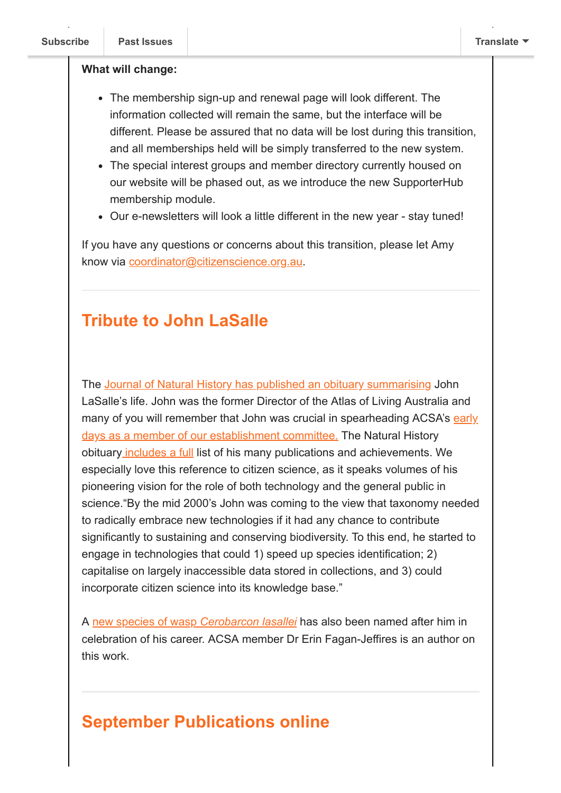#### **What will change:**

- The membership sign-up and renewal page will look different. The information collected will remain the same, but the interface will be different. Please be assured that no data will be lost during this transition, and all memberships held will be simply transferred to the new system.
- The special interest groups and member directory currently housed on our website will be phased out, as we introduce the new SupporterHub membership module.
- Our e-newsletters will look a little different in the new year stay tuned!

If you have any questions or concerns about this transition, please let Amy know via [coordinator@citizenscience.org.au](mailto:coordinator@citizenscience.org.au).

### **Tribute to John LaSalle**

The [Journal of Natural History has published an obituary summarising](https://www.tandfonline.com/doi/full/10.1080/00222933.2020.1768722) John LaSalle's life. John was the former Director of the Atlas of Living Australia and [many of you will remember that John was crucial in spearheading ACSA's early](https://us9.campaign-archive.com/?u=bf6c4fb11671f5919db89feda&id=41f5079691) days as a member of our establishment committee. The Natural History obituary [includes a full](https://www.tandfonline.com/doi/full/10.1080/00222933.2020.1768722) list of his many publications and achievements. We especially love this reference to citizen science, as it speaks volumes of his pioneering vision for the role of both technology and the general public in science."By the mid 2000's John was coming to the view that taxonomy needed to radically embrace new technologies if it had any chance to contribute significantly to sustaining and conserving biodiversity. To this end, he started to engage in technologies that could 1) speed up species identification; 2) capitalise on largely inaccessible data stored in collections, and 3) could incorporate citizen science into its knowledge base."

A [new species of wasp](https://www.tandfonline.com/doi/full/10.1080/00222933.2020.1747652) *Cerobarcon lasallei* has also been named after him in celebration of his career. ACSA member Dr Erin Fagan-Jeffires is an author on this work.

# **September Publications online**